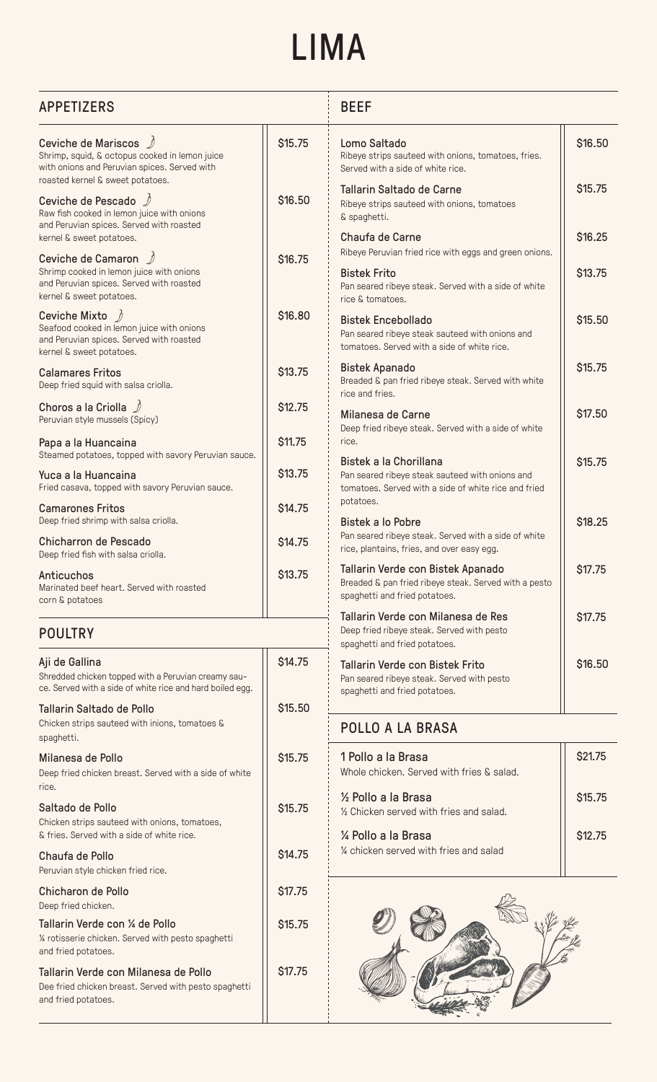## LIMA

| <b>APPETIZERS</b>                                                                                                                                           |                    | <b>BEEF</b>                                                                                                                 |                    |  |
|-------------------------------------------------------------------------------------------------------------------------------------------------------------|--------------------|-----------------------------------------------------------------------------------------------------------------------------|--------------------|--|
| Ceviche de Mariscos /<br>Shrimp, squid, & octopus cooked in lemon juice<br>with onions and Peruvian spices. Served with<br>roasted kernel & sweet potatoes. | <b>\$15.75</b>     | Lomo Saltado<br>Ribeye strips sauteed with onions, tomatoes, fries.<br>Served with a side of white rice.                    | \$16.50            |  |
| Ceviche de Pescado $\mathcal{D}$<br>Raw fish cooked in lemon juice with onions<br>and Peruvian spices. Served with roasted                                  | <b>\$16.50</b>     | Tallarin Saltado de Carne<br>Ribeye strips sauteed with onions, tomatoes<br>& spaghetti.                                    | \$15.75            |  |
| kernel & sweet potatoes.<br>Ceviche de Camaron <u>2</u>                                                                                                     | <b>\$16.75</b>     | Chaufa de Carne<br>Ribeye Peruvian fried rice with eggs and green onions.                                                   | \$16.25            |  |
| Shrimp cooked in lemon juice with onions<br>and Peruvian spices. Served with roasted<br>kernel & sweet potatoes.                                            |                    | <b>Bistek Frito</b><br>Pan seared ribeye steak. Served with a side of white<br>rice & tomatoes.                             | \$13.75            |  |
| Ceviche Mixto $\#$<br>Seafood cooked in lemon juice with onions<br>and Peruvian spices. Served with roasted<br>kernel & sweet potatoes.                     | \$16.80            | <b>Bistek Encebollado</b><br>Pan seared ribeye steak sauteed with onions and<br>tomatoes. Served with a side of white rice. | \$15.50            |  |
| <b>Calamares Fritos</b><br>Deep fried squid with salsa criolla.                                                                                             | \$13.75            | Bistek Apanado<br>Breaded & pan fried ribeye steak. Served with white<br>rice and fries.                                    | \$15.75            |  |
| Choros a la Criolla $\mathscr{D}$<br>Peruvian style mussels (Spicy)                                                                                         | <b>\$12.75</b>     | Milanesa de Carne<br>Deep fried ribeye steak. Served with a side of white                                                   | \$17.50            |  |
| Papa a la Huancaina<br>Steamed potatoes, topped with savory Peruvian sauce.<br>Yuca a la Huancaina                                                          | \$11.75<br>\$13.75 | rice.<br>Bistek a la Chorillana<br>Pan seared ribeye steak sauteed with onions and                                          | \$15.75            |  |
| Fried casava, topped with savory Peruvian sauce.<br><b>Camarones Fritos</b>                                                                                 | \$14.75            | tomatoes. Served with a side of white rice and fried<br>potatoes.                                                           |                    |  |
| Deep fried shrimp with salsa criolla.<br>Chicharron de Pescado<br>Deep fried fish with salsa criolla.                                                       | <b>S14.75</b>      | Bistek a lo Pobre<br>Pan seared ribeye steak. Served with a side of white<br>rice, plantains, fries, and over easy egg.     | \$18.25            |  |
| Anticuchos<br>Marinated beef heart. Served with roasted<br>corn & potatoes                                                                                  | \$13.75            | Tallarin Verde con Bistek Apanado<br>Breaded & pan fried ribeye steak. Served with a pesto<br>spaghetti and fried potatoes. | \$17.75            |  |
| <b>POULTRY</b>                                                                                                                                              |                    | Tallarin Verde con Milanesa de Res<br>Deep fried ribeye steak. Served with pesto<br>spaghetti and fried potatoes.           | \$17.75            |  |
| Aji de Gallina<br>Shredded chicken topped with a Peruvian creamy sau-<br>ce. Served with a side of white rice and hard boiled egg.                          | \$14.75            | Tallarin Verde con Bistek Frito<br>Pan seared ribeye steak. Served with pesto<br>spaghetti and fried potatoes.              | \$16.50            |  |
| Tallarin Saltado de Pollo<br>Chicken strips sauteed with inions, tomatoes &<br>spaghetti.                                                                   | \$15.50            | POLLO A LA BRASA                                                                                                            |                    |  |
| Milanesa de Pollo<br>Deep fried chicken breast. Served with a side of white<br>rice.                                                                        | <b>S15.75</b>      | 1 Pollo a la Brasa<br>Whole chicken. Served with fries & salad.                                                             | \$21.75            |  |
| Saltado de Pollo<br>Chicken strips sauteed with onions, tomatoes,<br>& fries. Served with a side of white rice.                                             | \$15.75            | 1/2 Pollo a la Brasa<br>1/2 Chicken served with fries and salad.<br>1/4 Pollo a la Brasa                                    | \$15.75<br>\$12.75 |  |
| Chaufa de Pollo<br>Peruvian style chicken fried rice.                                                                                                       | <b>S14.75</b>      | 1/4 chicken served with fries and salad                                                                                     |                    |  |
| Chicharon de Pollo<br>Deep fried chicken.                                                                                                                   | <b>\$17.75</b>     |                                                                                                                             |                    |  |
| Tallarin Verde con ¼ de Pollo<br>1/4 rotisserie chicken. Served with pesto spaghetti<br>and fried potatoes.                                                 | <b>S15.75</b>      |                                                                                                                             |                    |  |
| Tallarin Verde con Milanesa de Pollo<br>Dee fried chicken breast. Served with pesto spaghetti<br>and fried potatoes.                                        | \$17.75            |                                                                                                                             |                    |  |